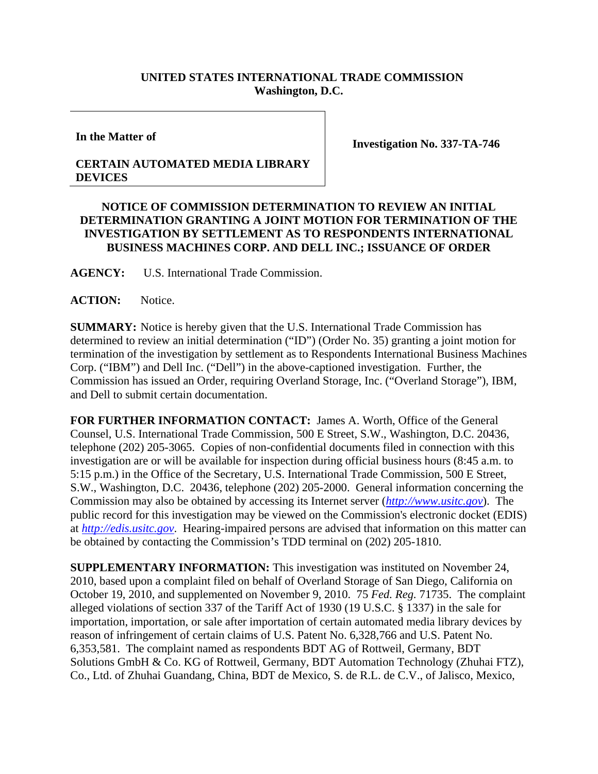## **UNITED STATES INTERNATIONAL TRADE COMMISSION Washington, D.C.**

**In the Matter of** 

**CERTAIN AUTOMATED MEDIA LIBRARY DEVICES**

**Investigation No. 337-TA-746** 

## **NOTICE OF COMMISSION DETERMINATION TO REVIEW AN INITIAL DETERMINATION GRANTING A JOINT MOTION FOR TERMINATION OF THE INVESTIGATION BY SETTLEMENT AS TO RESPONDENTS INTERNATIONAL BUSINESS MACHINES CORP. AND DELL INC.; ISSUANCE OF ORDER**

**AGENCY:** U.S. International Trade Commission.

ACTION: Notice.

**SUMMARY:** Notice is hereby given that the U.S. International Trade Commission has determined to review an initial determination ("ID") (Order No. 35) granting a joint motion for termination of the investigation by settlement as to Respondents International Business Machines Corp. ("IBM") and Dell Inc. ("Dell") in the above-captioned investigation. Further, the Commission has issued an Order, requiring Overland Storage, Inc. ("Overland Storage"), IBM, and Dell to submit certain documentation.

**FOR FURTHER INFORMATION CONTACT:** James A. Worth, Office of the General Counsel, U.S. International Trade Commission, 500 E Street, S.W., Washington, D.C. 20436, telephone (202) 205-3065. Copies of non-confidential documents filed in connection with this investigation are or will be available for inspection during official business hours (8:45 a.m. to 5:15 p.m.) in the Office of the Secretary, U.S. International Trade Commission, 500 E Street, S.W., Washington, D.C. 20436, telephone (202) 205-2000. General information concerning the Commission may also be obtained by accessing its Internet server (*http://www.usitc.gov*). The public record for this investigation may be viewed on the Commission's electronic docket (EDIS) at *http://edis.usitc.gov*. Hearing-impaired persons are advised that information on this matter can be obtained by contacting the Commission's TDD terminal on (202) 205-1810.

**SUPPLEMENTARY INFORMATION:** This investigation was instituted on November 24, 2010, based upon a complaint filed on behalf of Overland Storage of San Diego, California on October 19, 2010, and supplemented on November 9, 2010. 75 *Fed. Reg.* 71735. The complaint alleged violations of section 337 of the Tariff Act of 1930 (19 U.S.C. § 1337) in the sale for importation, importation, or sale after importation of certain automated media library devices by reason of infringement of certain claims of U.S. Patent No. 6,328,766 and U.S. Patent No. 6,353,581. The complaint named as respondents BDT AG of Rottweil, Germany, BDT Solutions GmbH & Co. KG of Rottweil, Germany, BDT Automation Technology (Zhuhai FTZ), Co., Ltd. of Zhuhai Guandang, China, BDT de Mexico, S. de R.L. de C.V., of Jalisco, Mexico,